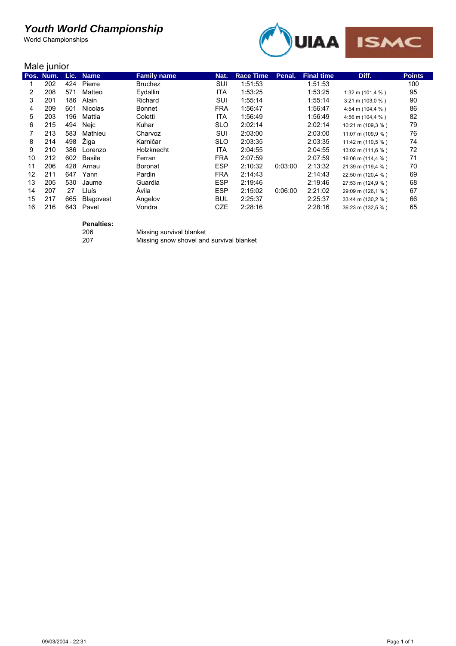World Championships



#### Male junior

|    | $111919$   $11191$ |      |                |                    |            |                  |         |                   |                             |               |
|----|--------------------|------|----------------|--------------------|------------|------------------|---------|-------------------|-----------------------------|---------------|
|    | Pos. Num.          | Lic. | <b>Name</b>    | <b>Family name</b> | Nat.       | <b>Race Time</b> | Penal.  | <b>Final time</b> | Diff.                       | <b>Points</b> |
|    | 202                | 424  | Pierre         | <b>Bruchez</b>     | SUI        | 1:51:53          |         | 1:51:53           |                             | 100           |
| 2  | 208                | 571  | Matteo         | Eydallin           | ITA        | 1:53:25          |         | 1:53:25           | 1:32 m (101,4 %)            | 95            |
| 3  | 201                | 186  | Alain          | Richard            | <b>SUI</b> | 1:55:14          |         | 1:55:14           | $3:21 \text{ m} (103,0\% )$ | 90            |
| 4  | 209                | 601  | <b>Nicolas</b> | <b>Bonnet</b>      | <b>FRA</b> | 1:56:47          |         | 1:56:47           | 4:54 m (104,4 %)            | 86            |
| 5  | 203                | 196  | Mattia         | Coletti            | ITA        | 1:56:49          |         | 1:56:49           | 4:56 m (104,4 %)            | 82            |
| 6  | 215                | 494  | Nejc           | Kuhar              | <b>SLO</b> | 2:02:14          |         | 2:02:14           | 10:21 m (109,3 %)           | 79            |
|    | 213                | 583  | Mathieu        | Charvoz            | SUI        | 2:03:00          |         | 2:03:00           | 11:07 m (109,9 %)           | 76            |
| 8  | 214                | 498  | Žiga           | Karničar           | <b>SLO</b> | 2:03:35          |         | 2:03:35           | 11:42 m (110,5 %)           | 74            |
| 9  | 210                | 386  | Lorenzo        | Holzknecht         | ITA        | 2:04:55          |         | 2:04:55           | 13:02 m (111,6 %)           | 72            |
| 10 | 212                | 602  | Basile         | Ferran             | <b>FRA</b> | 2:07:59          |         | 2:07:59           | 16:06 m (114,4 %)           | 71            |
| 11 | 206                | 428  | Arnau          | <b>Boronat</b>     | <b>ESP</b> | 2:10:32          | 0:03:00 | 2:13:32           | 21:39 m (119,4 %)           | 70            |
| 12 | 211                | 647  | Yann           | Pardin             | <b>FRA</b> | 2:14:43          |         | 2:14:43           | 22:50 m (120,4 %)           | 69            |
| 13 | 205                | 530  | Jaume          | Guardia            | <b>ESP</b> | 2:19:46          |         | 2:19:46           | 27:53 m (124,9 %)           | 68            |
| 14 | 207                | 27   | Lluís          | Ávila              | <b>ESP</b> | 2:15:02          | 0.06:00 | 2:21:02           | 29:09 m (126,1 %)           | 67            |
| 15 | 217                | 665  | Blagovest      | Angelov            | <b>BUL</b> | 2:25:37          |         | 2:25:37           | 33:44 m (130,2 %)           | 66            |
| 16 | 216                | 643  | Pavel          | Vondra             | <b>CZE</b> | 2:28:16          |         | 2:28:16           | 36:23 m (132,5 %)           | 65            |
|    |                    |      |                |                    |            |                  |         |                   |                             |               |

# Penalties:<br>206

206 Missing survival blanket<br>207 Missing snow shovel and

Missing snow shovel and survival blanket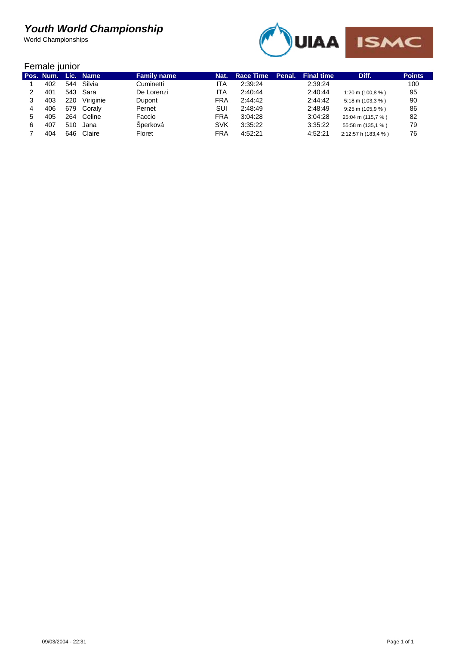World Championships



#### Female junior

|     |     | Pos. Num. Lic. Name | <b>Family name</b> | Nat.       | <b>Race Time</b> | Penal. | <b>Final time</b> | Diff.                              | <b>Points</b> |
|-----|-----|---------------------|--------------------|------------|------------------|--------|-------------------|------------------------------------|---------------|
| 402 | 544 | Silvia              | Cuminetti          | ITA        | 2:39:24          |        | 2:39:24           |                                    | 100           |
| 401 |     | 543 Sara            | De Lorenzi         | ITA        | 2:40:44          |        | 2:40:44           | 1:20 m (100,8 $%$ )                | 95            |
| 403 | 220 | Viriginie           | Dupont             | <b>FRA</b> | 2:44:42          |        | 2:44:42           | $5:18 \text{ m} (103.3 \text{ %})$ | 90            |
| 406 |     | 679 Coraly          | Pernet             | SUI        | 2:48:49          |        | 2:48:49           | $9:25 \text{ m} (105.9 \text{ %})$ | 86            |
| 405 | 264 | Celine              | Faccio             | <b>FRA</b> | 3:04:28          |        | 3:04:28           | 25:04 m (115,7 %)                  | 82            |
| 407 | 510 | Jana                | Sperková           | <b>SVK</b> | 3:35:22          |        | 3:35:22           | 55:58 m (135,1 %)                  | 79            |
| 404 | 646 | Claire              | Floret             | <b>FRA</b> | 4:52:21          |        | 4:52:21           | 2:12:57 h (183,4 %)                | 76            |
|     |     |                     |                    |            |                  |        |                   |                                    |               |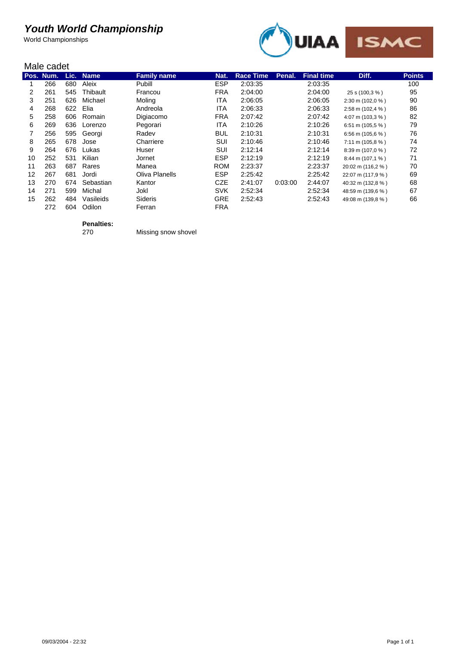World Championships



#### Male cadet

|    | יטשט טואויו |      |             |                    |            |                  |         |                   |                             |               |  |
|----|-------------|------|-------------|--------------------|------------|------------------|---------|-------------------|-----------------------------|---------------|--|
|    | Pos. Num.   | Lic. | <b>Name</b> | <b>Family name</b> | Nat.       | <b>Race Time</b> | Penal.  | <b>Final time</b> | Diff.                       | <b>Points</b> |  |
|    | 266         | 680  | Aleix       | Pubill             | <b>ESP</b> | 2:03:35          |         | 2:03:35           |                             | 100           |  |
| 2  | 261         | 545  | Thibault    | Francou            | <b>FRA</b> | 2:04:00          |         | 2:04:00           | 25 s (100,3 %)              | 95            |  |
| 3  | 251         | 626  | Michael     | Moling             | ITA        | 2:06:05          |         | 2:06:05           | 2:30 m (102,0 %)            | 90            |  |
| 4  | 268         | 622  | Elia        | Andreola           | ITA        | 2:06:33          |         | 2:06:33           | 2:58 m (102,4 %)            | 86            |  |
| 5  | 258         | 606  | Romain      | Digiacomo          | <b>FRA</b> | 2:07:42          |         | 2:07:42           | 4:07 m (103,3 %)            | 82            |  |
| 6  | 269         | 636  | Lorenzo     | Pegorari           | ITA.       | 2:10:26          |         | 2:10:26           | 6:51 m (105,5 %)            | 79            |  |
|    | 256         | 595  | Georgi      | Radev              | <b>BUL</b> | 2:10:31          |         | 2:10:31           | 6:56 m (105,6 %)            | 76            |  |
| 8  | 265         | 678  | Jose        | Charriere          | SUI        | 2:10:46          |         | 2:10:46           | $7:11 \text{ m} (105.8 \%)$ | 74            |  |
| 9  | 264         | 676  | Lukas       | Huser              | SUI        | 2:12:14          |         | 2:12:14           | 8:39 m (107,0 %)            | 72            |  |
| 10 | 252         | 531  | Kilian      | Jornet             | <b>ESP</b> | 2:12:19          |         | 2:12:19           | 8:44 m (107,1 %)            | 71            |  |
| 11 | 263         | 687  | Rares       | Manea              | <b>ROM</b> | 2:23:37          |         | 2:23:37           | 20:02 m (116,2 %)           | 70            |  |
| 12 | 267         | 681  | Jordi       | Oliva Planells     | <b>ESP</b> | 2:25:42          |         | 2:25:42           | 22:07 m (117,9 %)           | 69            |  |
| 13 | 270         | 674  | Sebastian   | Kantor             | <b>CZE</b> | 2:41:07          | 0:03:00 | 2:44:07           | 40:32 m (132,8 %)           | 68            |  |
| 14 | 271         | 599  | Michal      | Jokl               | <b>SVK</b> | 2:52:34          |         | 2:52:34           | 48:59 m (139.6 %)           | 67            |  |
| 15 | 262         | 484  | Vasileids   | <b>Sideris</b>     | <b>GRE</b> | 2:52:43          |         | 2:52:43           | 49:08 m (139,8 %)           | 66            |  |
|    | 272         | 604  | Odilon      | Ferran             | <b>FRA</b> |                  |         |                   |                             |               |  |
|    |             |      |             |                    |            |                  |         |                   |                             |               |  |

**Penalties:**

270 Missing snow shovel